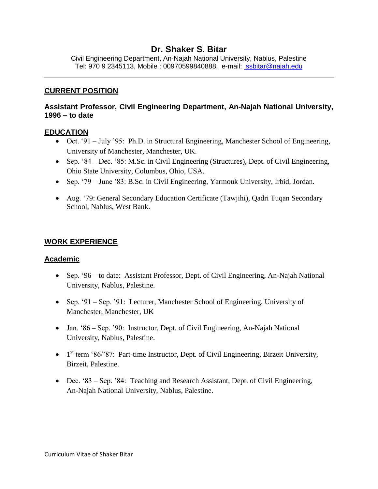# **Dr. Shaker S. Bitar**

Civil Engineering Department, An-Najah National University, Nablus, Palestine Tel: 970 9 2345113, Mobile : 00970599840888, e-mail: [ssbitar@najah.edu](mailto:%20ssbitar@najah.edu)

### **CURRENT POSITION**

## **Assistant Professor, Civil Engineering Department, An-Najah National University, 1996 – to date**

#### **EDUCATION**

- Oct. '91 July '95: Ph.D. in Structural Engineering, Manchester School of Engineering, University of Manchester, Manchester, UK.
- Sep. '84 Dec. '85: M.Sc. in Civil Engineering (Structures), Dept. of Civil Engineering, Ohio State University, Columbus, Ohio, USA.
- Sep. '79 June '83: B.Sc. in Civil Engineering, Yarmouk University, Irbid, Jordan.
- Aug. '79: General Secondary Education Certificate (Tawjihi), Qadri Tuqan Secondary School, Nablus, West Bank.

## **WORK EXPERIENCE**

#### **Academic**

- Sep. '96 to date: Assistant Professor, Dept. of Civil Engineering, An-Najah National University, Nablus, Palestine.
- Sep. '91 Sep. '91: Lecturer, Manchester School of Engineering, University of Manchester, Manchester, UK
- Jan. '86 Sep. '90: Instructor, Dept. of Civil Engineering, An-Najah National University, Nablus, Palestine.
- $\bullet$  1<sup>st</sup> term '86/'87: Part-time Instructor, Dept. of Civil Engineering, Birzeit University, Birzeit, Palestine.
- Dec. '83 Sep. '84: Teaching and Research Assistant, Dept. of Civil Engineering, An-Najah National University, Nablus, Palestine.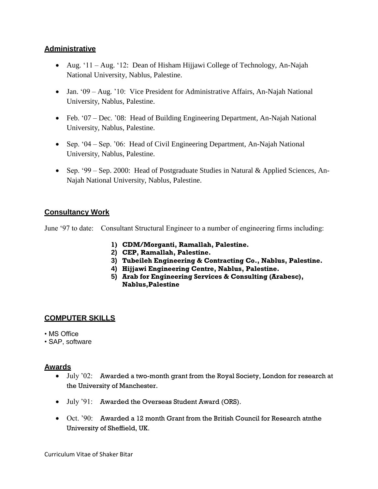## **Administrative**

- Aug.  $11 Aug.$   $12$ : Dean of Hisham Hijjawi College of Technology, An-Najah National University, Nablus, Palestine.
- Jan. '09 Aug. '10: Vice President for Administrative Affairs, An-Najah National University, Nablus, Palestine.
- Feb. '07 Dec. '08: Head of Building Engineering Department, An-Najah National University, Nablus, Palestine.
- Sep. '04 Sep. '06: Head of Civil Engineering Department, An-Najah National University, Nablus, Palestine.
- Sep. '99 Sep. 2000: Head of Postgraduate Studies in Natural & Applied Sciences, An-Najah National University, Nablus, Palestine.

# **Consultancy Work**

June '97 to date: Consultant Structural Engineer to a number of engineering firms including:

- **1) CDM/Morganti, Ramallah, Palestine.**
- **2) CEP, Ramallah, Palestine.**
- **3) Tubeileh Engineering & Contracting Co., Nablus, Palestine.**
- **4) Hijjawi Engineering Centre, Nablus, Palestine.**
- **5) Arab for Engineering Services & Consulting (Arabesc), Nablus,Palestine**

# **COMPUTER SKILLS**

- MS Office
- SAP, software

## **Awards**

- $\bullet$  July  $'02$ : Awarded a two-month grant from the Royal Society, London for research at the University of Manchester.
- July '91: Awarded the Overseas Student Award (ORS).
- Oct. '90: Awarded a 12 month Grant from the British Council for Research atnthe University of Sheffield, UK.